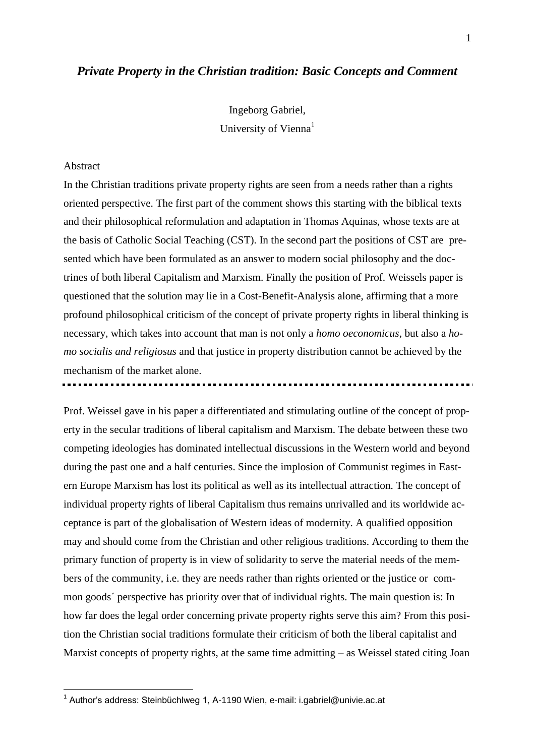# *Private Property in the Christian tradition: Basic Concepts and Comment*

Ingeborg Gabriel,

University of Vienna<sup>1</sup>

# Abstract

1

In the Christian traditions private property rights are seen from a needs rather than a rights oriented perspective. The first part of the comment shows this starting with the biblical texts and their philosophical reformulation and adaptation in Thomas Aquinas, whose texts are at the basis of Catholic Social Teaching (CST). In the second part the positions of CST are presented which have been formulated as an answer to modern social philosophy and the doctrines of both liberal Capitalism and Marxism. Finally the position of Prof. Weissels paper is questioned that the solution may lie in a Cost-Benefit-Analysis alone, affirming that a more profound philosophical criticism of the concept of private property rights in liberal thinking is necessary, which takes into account that man is not only a *homo oeconomicus*, but also a *homo socialis and religiosus* and that justice in property distribution cannot be achieved by the mechanism of the market alone.

Prof. Weissel gave in his paper a differentiated and stimulating outline of the concept of property in the secular traditions of liberal capitalism and Marxism. The debate between these two competing ideologies has dominated intellectual discussions in the Western world and beyond during the past one and a half centuries. Since the implosion of Communist regimes in Eastern Europe Marxism has lost its political as well as its intellectual attraction. The concept of individual property rights of liberal Capitalism thus remains unrivalled and its worldwide acceptance is part of the globalisation of Western ideas of modernity. A qualified opposition may and should come from the Christian and other religious traditions. According to them the primary function of property is in view of solidarity to serve the material needs of the members of the community, i.e. they are needs rather than rights oriented or the justice or common goods´ perspective has priority over that of individual rights. The main question is: In how far does the legal order concerning private property rights serve this aim? From this position the Christian social traditions formulate their criticism of both the liberal capitalist and Marxist concepts of property rights, at the same time admitting – as Weissel stated citing Joan

<sup>&</sup>lt;sup>1</sup> Author's address: Steinbüchlweg 1, A-1190 Wien, e-mail: i.gabriel@univie.ac.at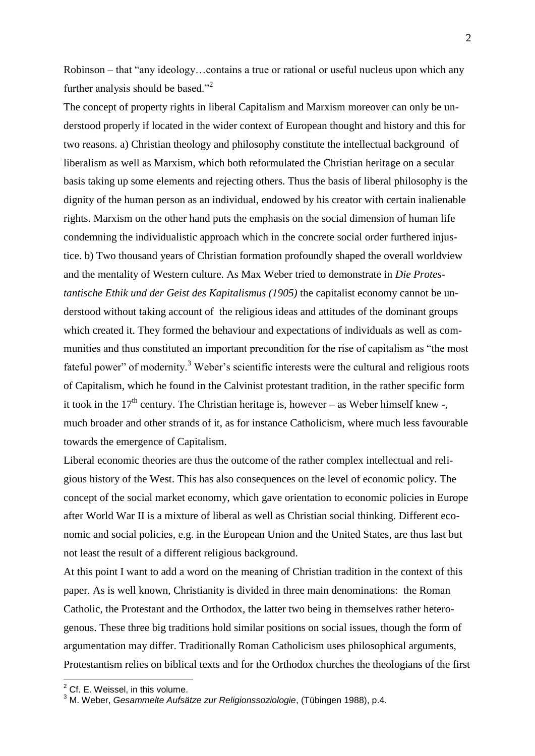Robinson – that "any ideology…contains a true or rational or useful nucleus upon which any further analysis should be based."<sup>2</sup>

The concept of property rights in liberal Capitalism and Marxism moreover can only be understood properly if located in the wider context of European thought and history and this for two reasons. a) Christian theology and philosophy constitute the intellectual background of liberalism as well as Marxism, which both reformulated the Christian heritage on a secular basis taking up some elements and rejecting others. Thus the basis of liberal philosophy is the dignity of the human person as an individual, endowed by his creator with certain inalienable rights. Marxism on the other hand puts the emphasis on the social dimension of human life condemning the individualistic approach which in the concrete social order furthered injustice. b) Two thousand years of Christian formation profoundly shaped the overall worldview and the mentality of Western culture. As Max Weber tried to demonstrate in *Die Protestantische Ethik und der Geist des Kapitalismus (1905)* the capitalist economy cannot be understood without taking account of the religious ideas and attitudes of the dominant groups which created it. They formed the behaviour and expectations of individuals as well as communities and thus constituted an important precondition for the rise of capitalism as "the most fateful power" of modernity.<sup>3</sup> Weber's scientific interests were the cultural and religious roots of Capitalism, which he found in the Calvinist protestant tradition, in the rather specific form it took in the  $17<sup>th</sup>$  century. The Christian heritage is, however – as Weber himself knew -, much broader and other strands of it, as for instance Catholicism, where much less favourable towards the emergence of Capitalism.

Liberal economic theories are thus the outcome of the rather complex intellectual and religious history of the West. This has also consequences on the level of economic policy. The concept of the social market economy, which gave orientation to economic policies in Europe after World War II is a mixture of liberal as well as Christian social thinking. Different economic and social policies, e.g. in the European Union and the United States, are thus last but not least the result of a different religious background.

At this point I want to add a word on the meaning of Christian tradition in the context of this paper. As is well known, Christianity is divided in three main denominations: the Roman Catholic, the Protestant and the Orthodox, the latter two being in themselves rather heterogenous. These three big traditions hold similar positions on social issues, though the form of argumentation may differ. Traditionally Roman Catholicism uses philosophical arguments, Protestantism relies on biblical texts and for the Orthodox churches the theologians of the first

 $2$  Cf. E. Weissel, in this volume.

<sup>3</sup> M. Weber, *Gesammelte Aufsätze zur Religionssoziologie*, (Tübingen 1988), p.4.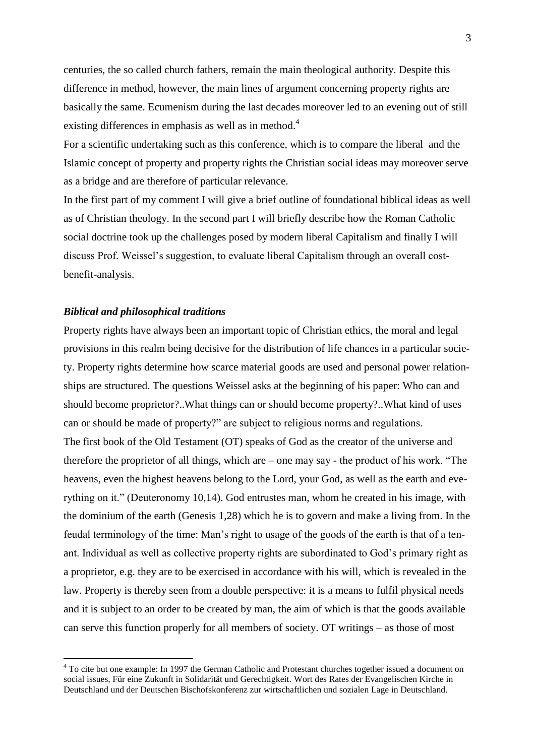centuries, the so called church fathers, remain the main theological authority. Despite this difference in method, however, the main lines of argument concerning property rights are basically the same. Ecumenism during the last decades moreover led to an evening out of still existing differences in emphasis as well as in method.<sup>4</sup>

For a scientific undertaking such as this conference, which is to compare the liberal and the Islamic concept of property and property rights the Christian social ideas may moreover serve as a bridge and are therefore of particular relevance.

In the first part of my comment I will give a brief outline of foundational biblical ideas as well as of Christian theology. In the second part I will briefly describe how the Roman Catholic social doctrine took up the challenges posed by modern liberal Capitalism and finally I will discuss Prof. Weissel's suggestion, to evaluate liberal Capitalism through an overall costbenefit-analysis.

### *Biblical and philosophical traditions*

1

Property rights have always been an important topic of Christian ethics, the moral and legal provisions in this realm being decisive for the distribution of life chances in a particular society. Property rights determine how scarce material goods are used and personal power relationships are structured. The questions Weissel asks at the beginning of his paper: Who can and should become proprietor?..What things can or should become property?..What kind of uses can or should be made of property?" are subject to religious norms and regulations. The first book of the Old Testament (OT) speaks of God as the creator of the universe and therefore the proprietor of all things, which are – one may say - the product of his work. "The heavens, even the highest heavens belong to the Lord, your God, as well as the earth and everything on it." (Deuteronomy 10,14). God entrustes man, whom he created in his image, with the dominium of the earth (Genesis 1,28) which he is to govern and make a living from. In the feudal terminology of the time: Man's right to usage of the goods of the earth is that of a tenant. Individual as well as collective property rights are subordinated to God's primary right as a proprietor, e.g. they are to be exercised in accordance with his will, which is revealed in the law. Property is thereby seen from a double perspective: it is a means to fulfil physical needs and it is subject to an order to be created by man, the aim of which is that the goods available can serve this function properly for all members of society. OT writings – as those of most

<sup>&</sup>lt;sup>4</sup> To cite but one example: In 1997 the German Catholic and Protestant churches together issued a document on social issues, Für eine Zukunft in Solidarität und Gerechtigkeit. Wort des Rates der Evangelischen Kirche in Deutschland und der Deutschen Bischofskonferenz zur wirtschaftlichen und sozialen Lage in Deutschland.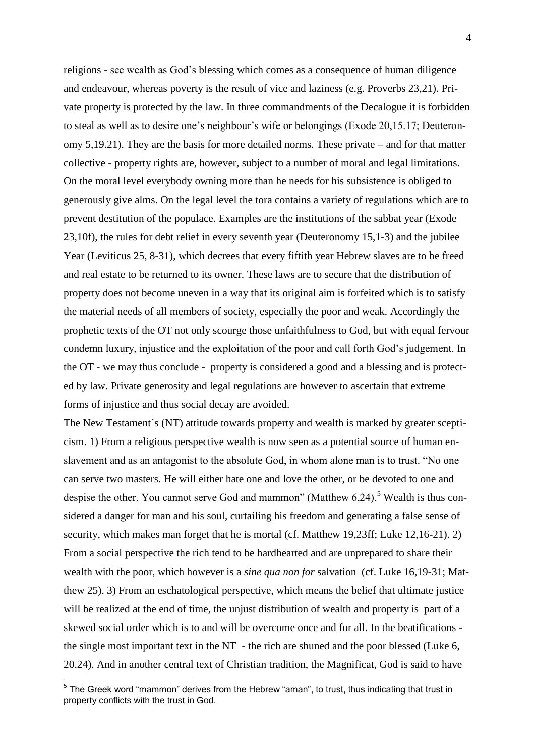religions - see wealth as God's blessing which comes as a consequence of human diligence and endeavour, whereas poverty is the result of vice and laziness (e.g. Proverbs 23,21). Private property is protected by the law. In three commandments of the Decalogue it is forbidden to steal as well as to desire one's neighbour's wife or belongings (Exode 20,15.17; Deuteronomy 5,19.21). They are the basis for more detailed norms. These private – and for that matter collective - property rights are, however, subject to a number of moral and legal limitations. On the moral level everybody owning more than he needs for his subsistence is obliged to generously give alms. On the legal level the tora contains a variety of regulations which are to prevent destitution of the populace. Examples are the institutions of the sabbat year (Exode 23,10f), the rules for debt relief in every seventh year (Deuteronomy 15,1-3) and the jubilee Year (Leviticus 25, 8-31), which decrees that every fiftith year Hebrew slaves are to be freed and real estate to be returned to its owner. These laws are to secure that the distribution of property does not become uneven in a way that its original aim is forfeited which is to satisfy the material needs of all members of society, especially the poor and weak. Accordingly the prophetic texts of the OT not only scourge those unfaithfulness to God, but with equal fervour condemn luxury, injustice and the exploitation of the poor and call forth God's judgement. In the OT - we may thus conclude - property is considered a good and a blessing and is protected by law. Private generosity and legal regulations are however to ascertain that extreme forms of injustice and thus social decay are avoided.

The New Testament´s (NT) attitude towards property and wealth is marked by greater scepticism. 1) From a religious perspective wealth is now seen as a potential source of human enslavement and as an antagonist to the absolute God, in whom alone man is to trust. "No one can serve two masters. He will either hate one and love the other, or be devoted to one and despise the other. You cannot serve God and mammon" (Matthew  $6.24$ ).<sup>5</sup> Wealth is thus considered a danger for man and his soul, curtailing his freedom and generating a false sense of security, which makes man forget that he is mortal (cf. Matthew 19,23ff; Luke 12,16-21). 2) From a social perspective the rich tend to be hardhearted and are unprepared to share their wealth with the poor, which however is a *sine qua non for* salvation (cf. Luke 16,19-31; Matthew 25). 3) From an eschatological perspective, which means the belief that ultimate justice will be realized at the end of time, the unjust distribution of wealth and property is part of a skewed social order which is to and will be overcome once and for all. In the beatifications the single most important text in the NT - the rich are shuned and the poor blessed (Luke 6, 20.24). And in another central text of Christian tradition, the Magnificat, God is said to have

 5 The Greek word "mammon" derives from the Hebrew "aman", to trust, thus indicating that trust in property conflicts with the trust in God.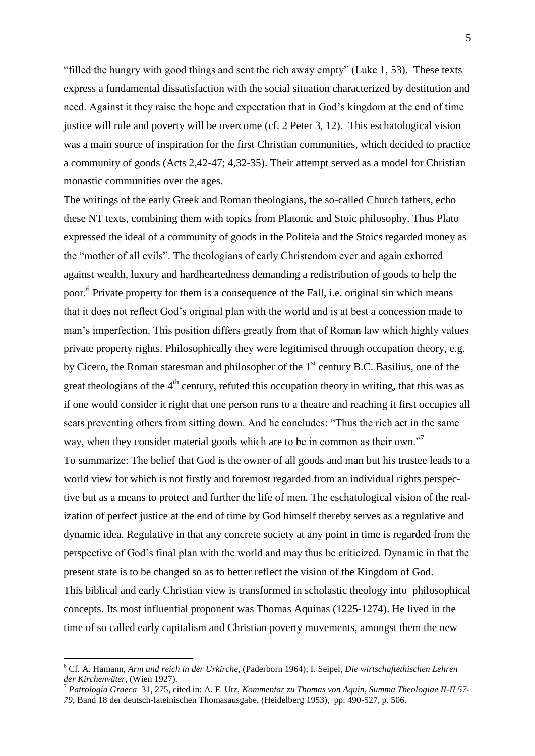"filled the hungry with good things and sent the rich away empty" (Luke 1, 53). These texts express a fundamental dissatisfaction with the social situation characterized by destitution and need. Against it they raise the hope and expectation that in God's kingdom at the end of time justice will rule and poverty will be overcome (cf. 2 Peter 3, 12). This eschatological vision was a main source of inspiration for the first Christian communities, which decided to practice a community of goods (Acts 2,42-47; 4,32-35). Their attempt served as a model for Christian monastic communities over the ages.

The writings of the early Greek and Roman theologians, the so-called Church fathers, echo these NT texts, combining them with topics from Platonic and Stoic philosophy. Thus Plato expressed the ideal of a community of goods in the Politeia and the Stoics regarded money as the "mother of all evils". The theologians of early Christendom ever and again exhorted against wealth, luxury and hardheartedness demanding a redistribution of goods to help the poor.<sup>6</sup> Private property for them is a consequence of the Fall, i.e. original sin which means that it does not reflect God's original plan with the world and is at best a concession made to man's imperfection. This position differs greatly from that of Roman law which highly values private property rights. Philosophically they were legitimised through occupation theory, e.g. by Cicero, the Roman statesman and philosopher of the  $1<sup>st</sup>$  century B.C. Basilius, one of the great theologians of the  $4<sup>th</sup>$  century, refuted this occupation theory in writing, that this was as if one would consider it right that one person runs to a theatre and reaching it first occupies all seats preventing others from sitting down. And he concludes: "Thus the rich act in the same way, when they consider material goods which are to be in common as their own."<sup>7</sup> To summarize: The belief that God is the owner of all goods and man but his trustee leads to a world view for which is not firstly and foremost regarded from an individual rights perspective but as a means to protect and further the life of men. The eschatological vision of the realization of perfect justice at the end of time by God himself thereby serves as a regulative and dynamic idea. Regulative in that any concrete society at any point in time is regarded from the perspective of God's final plan with the world and may thus be criticized. Dynamic in that the present state is to be changed so as to better reflect the vision of the Kingdom of God. This biblical and early Christian view is transformed in scholastic theology into philosophical concepts. Its most influential proponent was Thomas Aquinas (1225-1274). He lived in the time of so called early capitalism and Christian poverty movements, amongst them the new

<sup>6</sup> Cf. A. Hamann, *Arm und reich in der Urkirche*, (Paderborn 1964); I. Seipel, *Die wirtschaftethischen Lehren der Kirchenväter*, (Wien 1927).

<sup>7</sup> *Patrologia Graeca* 31, 275, cited in: A. F. Utz, *Kommentar zu Thomas von Aquin, Summa Theologiae II-II 57- 79*, Band 18 der deutsch-lateinischen Thomasausgabe, (Heidelberg 1953), pp. 490-527, p. 506.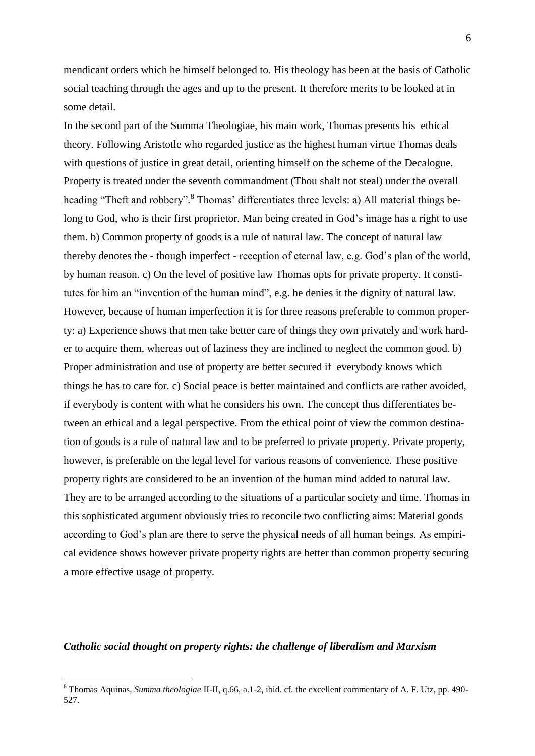mendicant orders which he himself belonged to. His theology has been at the basis of Catholic social teaching through the ages and up to the present. It therefore merits to be looked at in some detail.

In the second part of the Summa Theologiae, his main work, Thomas presents his ethical theory. Following Aristotle who regarded justice as the highest human virtue Thomas deals with questions of justice in great detail, orienting himself on the scheme of the Decalogue. Property is treated under the seventh commandment (Thou shalt not steal) under the overall heading "Theft and robbery". <sup>8</sup> Thomas' differentiates three levels: a) All material things belong to God, who is their first proprietor. Man being created in God's image has a right to use them. b) Common property of goods is a rule of natural law. The concept of natural law thereby denotes the - though imperfect - reception of eternal law, e.g. God's plan of the world, by human reason. c) On the level of positive law Thomas opts for private property. It constitutes for him an "invention of the human mind", e.g. he denies it the dignity of natural law. However, because of human imperfection it is for three reasons preferable to common property: a) Experience shows that men take better care of things they own privately and work harder to acquire them, whereas out of laziness they are inclined to neglect the common good. b) Proper administration and use of property are better secured if everybody knows which things he has to care for. c) Social peace is better maintained and conflicts are rather avoided, if everybody is content with what he considers his own. The concept thus differentiates between an ethical and a legal perspective. From the ethical point of view the common destination of goods is a rule of natural law and to be preferred to private property. Private property, however, is preferable on the legal level for various reasons of convenience. These positive property rights are considered to be an invention of the human mind added to natural law. They are to be arranged according to the situations of a particular society and time. Thomas in this sophisticated argument obviously tries to reconcile two conflicting aims: Material goods according to God's plan are there to serve the physical needs of all human beings. As empirical evidence shows however private property rights are better than common property securing a more effective usage of property.

# *Catholic social thought on property rights: the challenge of liberalism and Marxism*

<sup>8</sup> Thomas Aquinas, *Summa theologiae* II-II, q.66, a.1-2, ibid. cf. the excellent commentary of A. F. Utz, pp. 490- 527.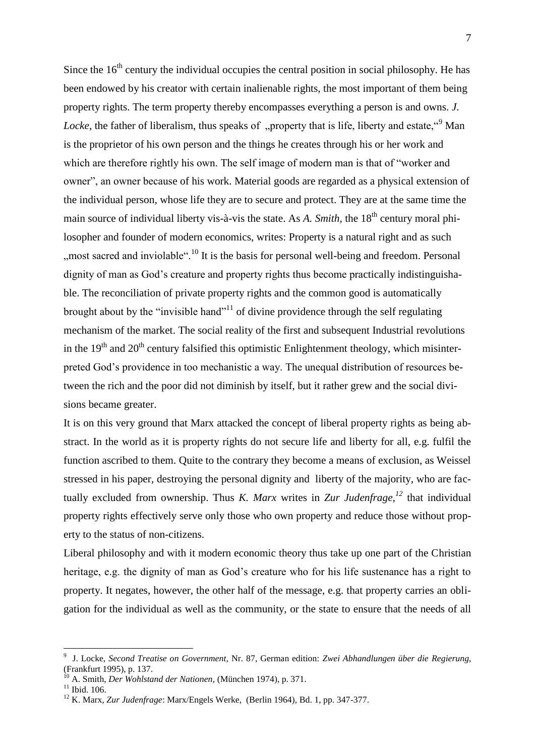Since the  $16<sup>th</sup>$  century the individual occupies the central position in social philosophy. He has been endowed by his creator with certain inalienable rights, the most important of them being property rights. The term property thereby encompasses everything a person is and owns. *J. Locke*, the father of liberalism, thus speaks of "property that is life, liberty and estate."<sup>9</sup> Man is the proprietor of his own person and the things he creates through his or her work and which are therefore rightly his own. The self image of modern man is that of "worker and owner", an owner because of his work. Material goods are regarded as a physical extension of the individual person, whose life they are to secure and protect. They are at the same time the main source of individual liberty vis-à-vis the state. As *A*. *Smith*, the 18<sup>th</sup> century moral philosopher and founder of modern economics, writes: Property is a natural right and as such "", most sacred and inviolable"<sup>10</sup> It is the basis for personal well-being and freedom. Personal dignity of man as God's creature and property rights thus become practically indistinguishable. The reconciliation of private property rights and the common good is automatically brought about by the "invisible hand"<sup>11</sup> of divine providence through the self regulating mechanism of the market. The social reality of the first and subsequent Industrial revolutions in the  $19<sup>th</sup>$  and  $20<sup>th</sup>$  century falsified this optimistic Enlightenment theology, which misinterpreted God's providence in too mechanistic a way. The unequal distribution of resources between the rich and the poor did not diminish by itself, but it rather grew and the social divisions became greater.

It is on this very ground that Marx attacked the concept of liberal property rights as being abstract. In the world as it is property rights do not secure life and liberty for all, e.g. fulfil the function ascribed to them. Quite to the contrary they become a means of exclusion, as Weissel stressed in his paper, destroying the personal dignity and liberty of the majority, who are factually excluded from ownership. Thus *K. Marx* writes in *Zur Judenfrage,<sup>12</sup>* that individual property rights effectively serve only those who own property and reduce those without property to the status of non-citizens.

Liberal philosophy and with it modern economic theory thus take up one part of the Christian heritage, e.g. the dignity of man as God's creature who for his life sustenance has a right to property. It negates, however, the other half of the message, e.g. that property carries an obligation for the individual as well as the community, or the state to ensure that the needs of all

<sup>9</sup> J. Locke, *Second Treatise on Government,* Nr. 87, German edition: *Zwei Abhandlungen über die Regierung*, (Frankfurt 1995), p. 137.

<sup>10</sup> A. Smith, *Der Wohlstand der Nationen*, (München 1974), p. 371.

 $11$  Ibid. 106.

<sup>12</sup> K. Marx, *Zur Judenfrage*: Marx/Engels Werke, (Berlin 1964), Bd. 1, pp. 347-377.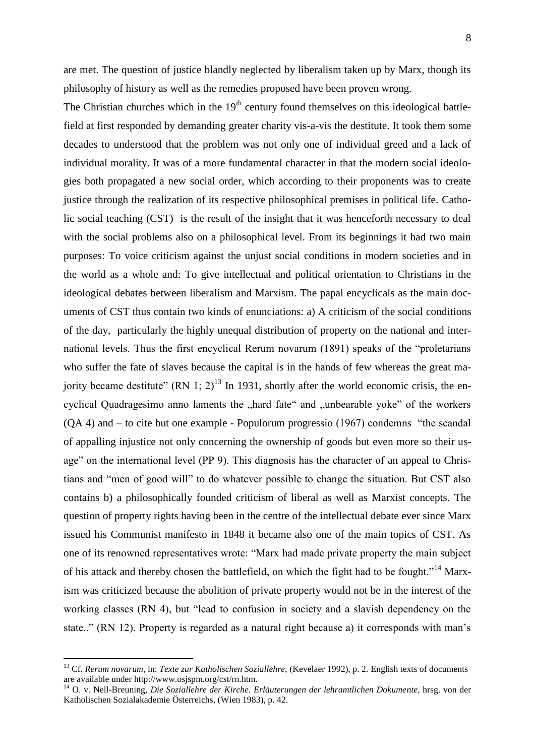The Christian churches which in the  $19<sup>th</sup>$  century found themselves on this ideological battlefield at first responded by demanding greater charity vis-a-vis the destitute. It took them some decades to understood that the problem was not only one of individual greed and a lack of individual morality. It was of a more fundamental character in that the modern social ideologies both propagated a new social order, which according to their proponents was to create justice through the realization of its respective philosophical premises in political life. Catholic social teaching (CST) is the result of the insight that it was henceforth necessary to deal with the social problems also on a philosophical level. From its beginnings it had two main purposes: To voice criticism against the unjust social conditions in modern societies and in the world as a whole and: To give intellectual and political orientation to Christians in the ideological debates between liberalism and Marxism. The papal encyclicals as the main documents of CST thus contain two kinds of enunciations: a) A criticism of the social conditions of the day, particularly the highly unequal distribution of property on the national and international levels. Thus the first encyclical Rerum novarum (1891) speaks of the "proletarians who suffer the fate of slaves because the capital is in the hands of few whereas the great majority became destitute"  $(RN 1; 2)^{13}$  In 1931, shortly after the world economic crisis, the encyclical Quadragesimo anno laments the "hard fate" and "unbearable yoke" of the workers (QA 4) and – to cite but one example - Populorum progressio (1967) condemns "the scandal of appalling injustice not only concerning the ownership of goods but even more so their usage" on the international level (PP 9). This diagnosis has the character of an appeal to Christians and "men of good will" to do whatever possible to change the situation. But CST also contains b) a philosophically founded criticism of liberal as well as Marxist concepts. The question of property rights having been in the centre of the intellectual debate ever since Marx issued his Communist manifesto in 1848 it became also one of the main topics of CST. As one of its renowned representatives wrote: "Marx had made private property the main subject of his attack and thereby chosen the battlefield, on which the fight had to be fought."<sup>14</sup> Marxism was criticized because the abolition of private property would not be in the interest of the working classes (RN 4), but "lead to confusion in society and a slavish dependency on the state.." (RN 12). Property is regarded as a natural right because a) it corresponds with man's

<sup>13</sup> Cf. *Rerum novarum*, in: *Texte zur Katholischen Soziallehre*, (Kevelaer 1992), p. 2. English texts of documents are available under http://www.osjspm.org/cst/rn.htm.

<sup>14</sup> O. v. Nell-Breuning, *Die Soziallehre der Kirche. Erläuterungen der lehramtlichen Dokumente*, hrsg. von der Katholischen Sozialakademie Österreichs, (Wien 1983), p. 42.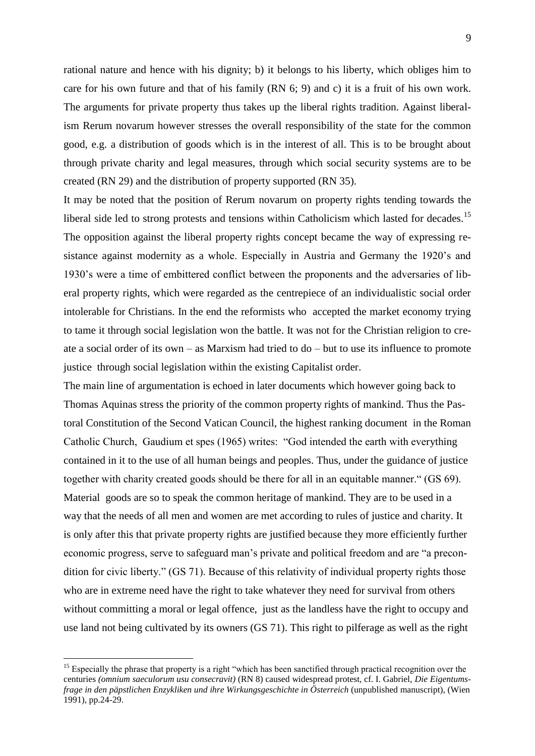rational nature and hence with his dignity; b) it belongs to his liberty, which obliges him to care for his own future and that of his family (RN 6; 9) and c) it is a fruit of his own work. The arguments for private property thus takes up the liberal rights tradition. Against liberalism Rerum novarum however stresses the overall responsibility of the state for the common good, e.g. a distribution of goods which is in the interest of all. This is to be brought about through private charity and legal measures, through which social security systems are to be created (RN 29) and the distribution of property supported (RN 35).

It may be noted that the position of Rerum novarum on property rights tending towards the liberal side led to strong protests and tensions within Catholicism which lasted for decades.<sup>15</sup> The opposition against the liberal property rights concept became the way of expressing resistance against modernity as a whole. Especially in Austria and Germany the 1920's and 1930's were a time of embittered conflict between the proponents and the adversaries of liberal property rights, which were regarded as the centrepiece of an individualistic social order intolerable for Christians. In the end the reformists who accepted the market economy trying to tame it through social legislation won the battle. It was not for the Christian religion to create a social order of its own – as Marxism had tried to do – but to use its influence to promote justice through social legislation within the existing Capitalist order.

The main line of argumentation is echoed in later documents which however going back to Thomas Aquinas stress the priority of the common property rights of mankind. Thus the Pastoral Constitution of the Second Vatican Council, the highest ranking document in the Roman Catholic Church, Gaudium et spes (1965) writes: "God intended the earth with everything contained in it to the use of all human beings and peoples. Thus, under the guidance of justice together with charity created goods should be there for all in an equitable manner." (GS 69). Material goods are so to speak the common heritage of mankind. They are to be used in a way that the needs of all men and women are met according to rules of justice and charity. It is only after this that private property rights are justified because they more efficiently further economic progress, serve to safeguard man's private and political freedom and are "a precondition for civic liberty." (GS 71). Because of this relativity of individual property rights those who are in extreme need have the right to take whatever they need for survival from others without committing a moral or legal offence, just as the landless have the right to occupy and use land not being cultivated by its owners (GS 71). This right to pilferage as well as the right

<sup>&</sup>lt;sup>15</sup> Especially the phrase that property is a right "which has been sanctified through practical recognition over the centuries *(omnium saeculorum usu consecravit)* (RN 8) caused widespread protest, cf. I. Gabriel, *Die Eigentumsfrage in den päpstlichen Enzykliken und ihre Wirkungsgeschichte in Österreich* (unpublished manuscript), (Wien 1991), pp.24-29.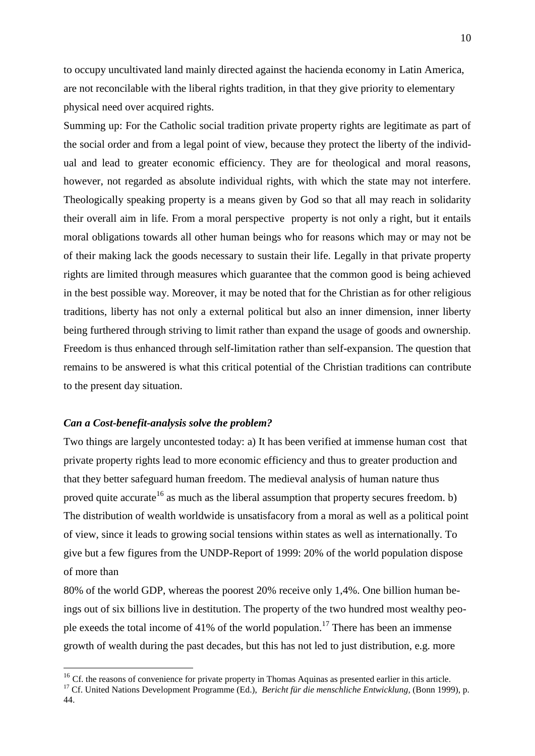to occupy uncultivated land mainly directed against the hacienda economy in Latin America, are not reconcilable with the liberal rights tradition, in that they give priority to elementary physical need over acquired rights.

Summing up: For the Catholic social tradition private property rights are legitimate as part of the social order and from a legal point of view, because they protect the liberty of the individual and lead to greater economic efficiency. They are for theological and moral reasons, however, not regarded as absolute individual rights, with which the state may not interfere. Theologically speaking property is a means given by God so that all may reach in solidarity their overall aim in life. From a moral perspective property is not only a right, but it entails moral obligations towards all other human beings who for reasons which may or may not be of their making lack the goods necessary to sustain their life. Legally in that private property rights are limited through measures which guarantee that the common good is being achieved in the best possible way. Moreover, it may be noted that for the Christian as for other religious traditions, liberty has not only a external political but also an inner dimension, inner liberty being furthered through striving to limit rather than expand the usage of goods and ownership. Freedom is thus enhanced through self-limitation rather than self-expansion. The question that remains to be answered is what this critical potential of the Christian traditions can contribute to the present day situation.

#### *Can a Cost-benefit-analysis solve the problem?*

<u>.</u>

Two things are largely uncontested today: a) It has been verified at immense human cost that private property rights lead to more economic efficiency and thus to greater production and that they better safeguard human freedom. The medieval analysis of human nature thus proved quite accurate<sup>16</sup> as much as the liberal assumption that property secures freedom. b) The distribution of wealth worldwide is unsatisfacory from a moral as well as a political point of view, since it leads to growing social tensions within states as well as internationally. To give but a few figures from the UNDP-Report of 1999: 20% of the world population dispose of more than

80% of the world GDP, whereas the poorest 20% receive only 1,4%. One billion human beings out of six billions live in destitution. The property of the two hundred most wealthy people exeeds the total income of 41% of the world population.<sup>17</sup> There has been an immense growth of wealth during the past decades, but this has not led to just distribution, e.g. more

<sup>&</sup>lt;sup>16</sup> Cf. the reasons of convenience for private property in Thomas Aquinas as presented earlier in this article.

<sup>&</sup>lt;sup>17</sup> Cf. United Nations Development Programme (Ed.), *Bericht für die menschliche Entwicklung*, (Bonn 1999), p. 44.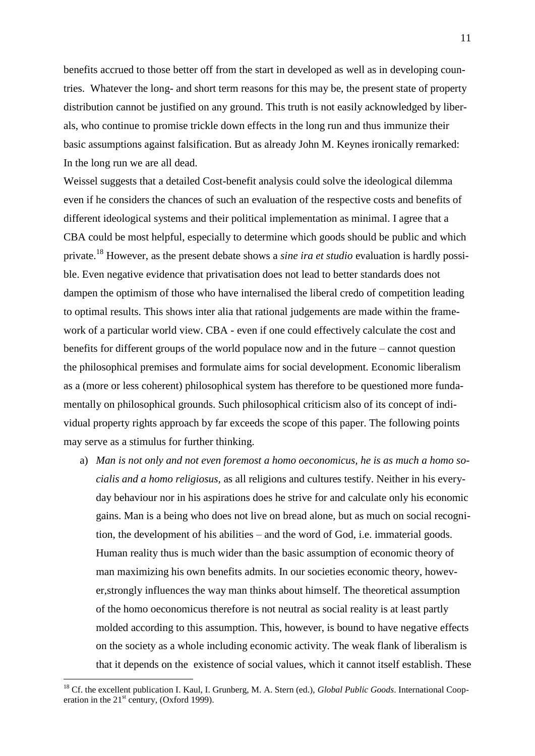benefits accrued to those better off from the start in developed as well as in developing countries. Whatever the long- and short term reasons for this may be, the present state of property distribution cannot be justified on any ground. This truth is not easily acknowledged by liberals, who continue to promise trickle down effects in the long run and thus immunize their basic assumptions against falsification. But as already John M. Keynes ironically remarked: In the long run we are all dead.

Weissel suggests that a detailed Cost-benefit analysis could solve the ideological dilemma even if he considers the chances of such an evaluation of the respective costs and benefits of different ideological systems and their political implementation as minimal. I agree that a CBA could be most helpful, especially to determine which goods should be public and which private.<sup>18</sup> However, as the present debate shows a *sine ira et studio* evaluation is hardly possible. Even negative evidence that privatisation does not lead to better standards does not dampen the optimism of those who have internalised the liberal credo of competition leading to optimal results. This shows inter alia that rational judgements are made within the framework of a particular world view. CBA - even if one could effectively calculate the cost and benefits for different groups of the world populace now and in the future – cannot question the philosophical premises and formulate aims for social development. Economic liberalism as a (more or less coherent) philosophical system has therefore to be questioned more fundamentally on philosophical grounds. Such philosophical criticism also of its concept of individual property rights approach by far exceeds the scope of this paper. The following points may serve as a stimulus for further thinking.

a) *Man is not only and not even foremost a homo oeconomicus, he is as much a homo socialis and a homo religiosus,* as all religions and cultures testify. Neither in his everyday behaviour nor in his aspirations does he strive for and calculate only his economic gains. Man is a being who does not live on bread alone, but as much on social recognition, the development of his abilities – and the word of God, i.e. immaterial goods. Human reality thus is much wider than the basic assumption of economic theory of man maximizing his own benefits admits. In our societies economic theory, however,strongly influences the way man thinks about himself. The theoretical assumption of the homo oeconomicus therefore is not neutral as social reality is at least partly molded according to this assumption. This, however, is bound to have negative effects on the society as a whole including economic activity. The weak flank of liberalism is that it depends on the existence of social values, which it cannot itself establish. These

<sup>18</sup> Cf. the excellent publication I. Kaul, I. Grunberg, M. A. Stern (ed.), *Global Public Goods*. International Cooperation in the  $21<sup>st</sup>$  century, (Oxford 1999).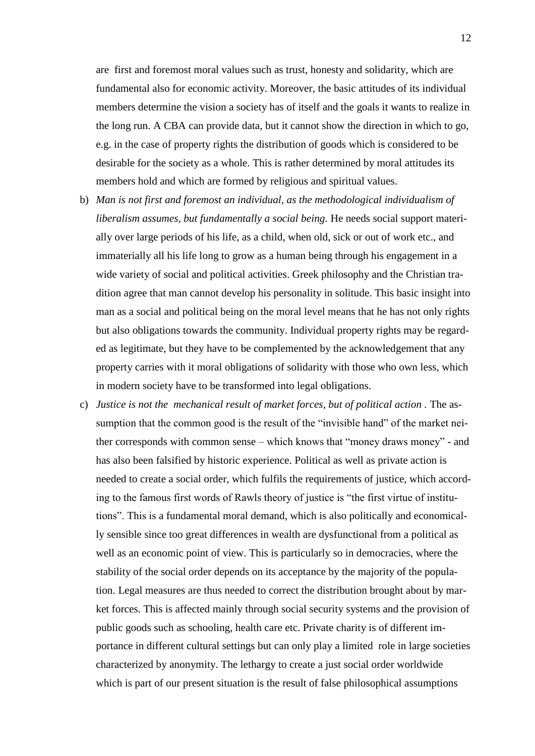are first and foremost moral values such as trust, honesty and solidarity, which are fundamental also for economic activity. Moreover, the basic attitudes of its individual members determine the vision a society has of itself and the goals it wants to realize in the long run. A CBA can provide data, but it cannot show the direction in which to go, e.g. in the case of property rights the distribution of goods which is considered to be desirable for the society as a whole. This is rather determined by moral attitudes its members hold and which are formed by religious and spiritual values.

- b) *Man is not first and foremost an individual, as the methodological individualism of liberalism assumes, but fundamentally a social being.* He needs social support materially over large periods of his life, as a child, when old, sick or out of work etc., and immaterially all his life long to grow as a human being through his engagement in a wide variety of social and political activities. Greek philosophy and the Christian tradition agree that man cannot develop his personality in solitude. This basic insight into man as a social and political being on the moral level means that he has not only rights but also obligations towards the community. Individual property rights may be regarded as legitimate, but they have to be complemented by the acknowledgement that any property carries with it moral obligations of solidarity with those who own less, which in modern society have to be transformed into legal obligations.
- c) Justice is not the mechanical result of market forces, but of political action. The assumption that the common good is the result of the "invisible hand" of the market neither corresponds with common sense – which knows that "money draws money" - and has also been falsified by historic experience. Political as well as private action is needed to create a social order, which fulfils the requirements of justice, which according to the famous first words of Rawls theory of justice is "the first virtue of institutions". This is a fundamental moral demand, which is also politically and economically sensible since too great differences in wealth are dysfunctional from a political as well as an economic point of view. This is particularly so in democracies, where the stability of the social order depends on its acceptance by the majority of the population. Legal measures are thus needed to correct the distribution brought about by market forces. This is affected mainly through social security systems and the provision of public goods such as schooling, health care etc. Private charity is of different importance in different cultural settings but can only play a limited role in large societies characterized by anonymity. The lethargy to create a just social order worldwide which is part of our present situation is the result of false philosophical assumptions